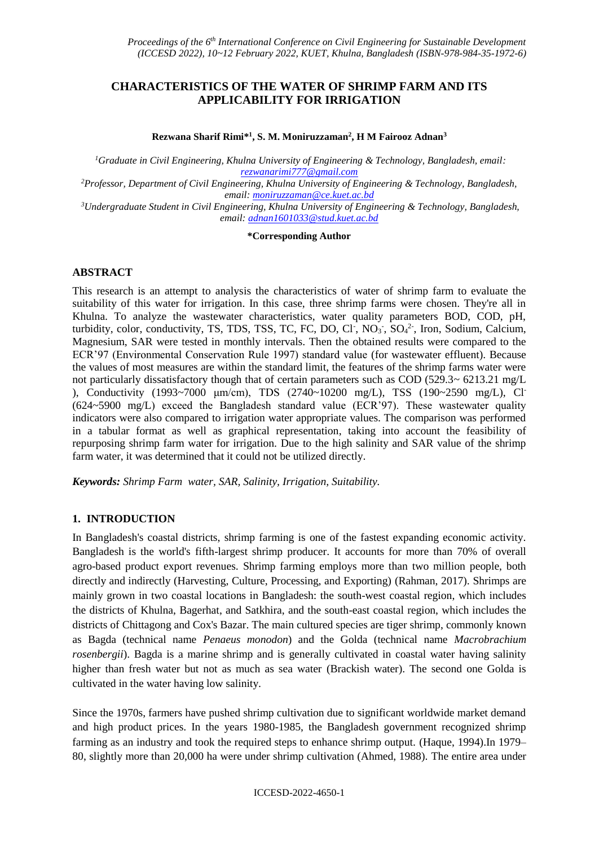# **CHARACTERISTICS OF THE WATER OF SHRIMP FARM AND ITS APPLICABILITY FOR IRRIGATION**

**Rezwana Sharif Rimi\* 1 , S. M. Moniruzzaman<sup>2</sup> , H M Fairooz Adnan<sup>3</sup>**

*<sup>1</sup>Graduate in Civil Engineering, Khulna University of Engineering & Technology, Bangladesh, email: [rezwanarimi777@gmail.com](mailto:rezwanarimi777@gmail.com)*

*<sup>2</sup>Professor, Department of Civil Engineering, Khulna University of Engineering & Technology, Bangladesh, email: [moniruzzaman@ce.kuet.ac.bd](mailto:moniruzzaman@ce.kuet.ac.bd)*

*<sup>3</sup>Undergraduate Student in Civil Engineering, Khulna University of Engineering & Technology, Bangladesh, email: [adnan1601033@stud.kuet.ac.bd](mailto:adnan1601033@stud.kuet.ac.bd)*

#### **\*Corresponding Author**

### **ABSTRACT**

This research is an attempt to analysis the characteristics of water of shrimp farm to evaluate the suitability of this water for irrigation. In this case, three shrimp farms were chosen. They're all in Khulna. To analyze the wastewater characteristics, water quality parameters BOD, COD, pH, turbidity, color, conductivity, TS, TDS, TSS, TC, FC, DO, Cl<sup>-</sup>, NO<sub>3</sub><sup>-</sup>, SO<sub>4</sub><sup>2-</sup>, Iron, Sodium, Calcium, Magnesium, SAR were tested in monthly intervals. Then the obtained results were compared to the ECR'97 (Environmental Conservation Rule 1997) standard value (for wastewater effluent). Because the values of most measures are within the standard limit, the features of the shrimp farms water were not particularly dissatisfactory though that of certain parameters such as COD (529.3~ 6213.21 mg/L ), Conductivity (1993~7000 μm/cm), TDS (2740~10200 mg/L), TSS (190~2590 mg/L), Cl- (624~5900 mg/L) exceed the Bangladesh standard value (ECR'97). These wastewater quality indicators were also compared to irrigation water appropriate values. The comparison was performed in a tabular format as well as graphical representation, taking into account the feasibility of repurposing shrimp farm water for irrigation. Due to the high salinity and SAR value of the shrimp farm water, it was determined that it could not be utilized directly.

*Keywords: Shrimp Farm water, SAR, Salinity, Irrigation, Suitability.*

### **1. INTRODUCTION**

In Bangladesh's coastal districts, shrimp farming is one of the fastest expanding economic activity. Bangladesh is the world's fifth-largest shrimp producer. It accounts for more than 70% of overall agro-based product export revenues. Shrimp farming employs more than two million people, both directly and indirectly (Harvesting, Culture, Processing, and Exporting) (Rahman, 2017). Shrimps are mainly grown in two coastal locations in Bangladesh: the south-west coastal region, which includes the districts of Khulna, Bagerhat, and Satkhira, and the south-east coastal region, which includes the districts of Chittagong and Cox's Bazar. The main cultured species are tiger shrimp, commonly known as Bagda (technical name *Penaeus monodon*) and the Golda (technical name *Macrobrachium rosenbergii*). Bagda is a marine shrimp and is generally cultivated in coastal water having salinity higher than fresh water but not as much as sea water (Brackish water). The second one Golda is cultivated in the water having low salinity.

Since the 1970s, farmers have pushed shrimp cultivation due to significant worldwide market demand and high product prices. In the years 1980-1985, the Bangladesh government recognized shrimp farming as an industry and took the required steps to enhance shrimp output. (Haque, 1994).In 1979– 80, slightly more than 20,000 ha were under shrimp cultivation (Ahmed, 1988). The entire area under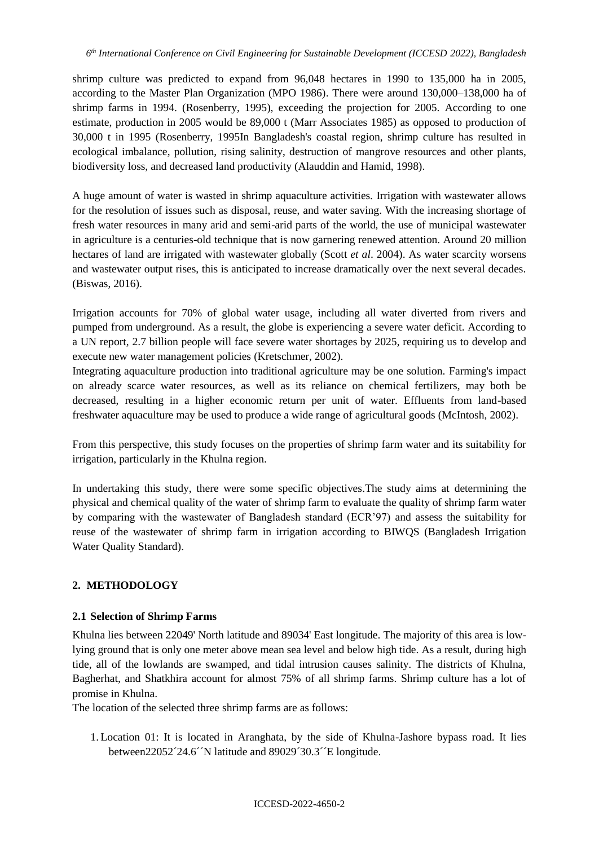shrimp culture was predicted to expand from 96,048 hectares in 1990 to 135,000 ha in 2005, according to the Master Plan Organization (MPO 1986). There were around 130,000–138,000 ha of shrimp farms in 1994. (Rosenberry, 1995), exceeding the projection for 2005. According to one estimate, production in 2005 would be 89,000 t (Marr Associates 1985) as opposed to production of 30,000 t in 1995 (Rosenberry, 1995In Bangladesh's coastal region, shrimp culture has resulted in ecological imbalance, pollution, rising salinity, destruction of mangrove resources and other plants, biodiversity loss, and decreased land productivity (Alauddin and Hamid, 1998).

A huge amount of water is wasted in shrimp aquaculture activities. Irrigation with wastewater allows for the resolution of issues such as disposal, reuse, and water saving. With the increasing shortage of fresh water resources in many arid and semi-arid parts of the world, the use of municipal wastewater in agriculture is a centuries-old technique that is now garnering renewed attention. Around 20 million hectares of land are irrigated with wastewater globally (Scott *et al*. 2004). As water scarcity worsens and wastewater output rises, this is anticipated to increase dramatically over the next several decades. (Biswas, 2016).

Irrigation accounts for 70% of global water usage, including all water diverted from rivers and pumped from underground. As a result, the globe is experiencing a severe water deficit. According to a UN report, 2.7 billion people will face severe water shortages by 2025, requiring us to develop and execute new water management policies (Kretschmer, 2002).

Integrating aquaculture production into traditional agriculture may be one solution. Farming's impact on already scarce water resources, as well as its reliance on chemical fertilizers, may both be decreased, resulting in a higher economic return per unit of water. Effluents from land-based freshwater aquaculture may be used to produce a wide range of agricultural goods (McIntosh, 2002).

From this perspective, this study focuses on the properties of shrimp farm water and its suitability for irrigation, particularly in the Khulna region.

In undertaking this study, there were some specific objectives.The study aims at determining the physical and chemical quality of the water of shrimp farm to evaluate the quality of shrimp farm water by comparing with the wastewater of Bangladesh standard (ECR'97) and assess the suitability for reuse of the wastewater of shrimp farm in irrigation according to BIWQS (Bangladesh Irrigation Water Quality Standard).

# **2. METHODOLOGY**

# **2.1 Selection of Shrimp Farms**

Khulna lies between 22049' North latitude and 89034' East longitude. The majority of this area is lowlying ground that is only one meter above mean sea level and below high tide. As a result, during high tide, all of the lowlands are swamped, and tidal intrusion causes salinity. The districts of Khulna, Bagherhat, and Shatkhira account for almost 75% of all shrimp farms. Shrimp culture has a lot of promise in Khulna.

The location of the selected three shrimp farms are as follows:

1. Location 01: It is located in Aranghata, by the side of Khulna-Jashore bypass road. It lies between22052´24.6´N latitude and 89029´30.3´E longitude.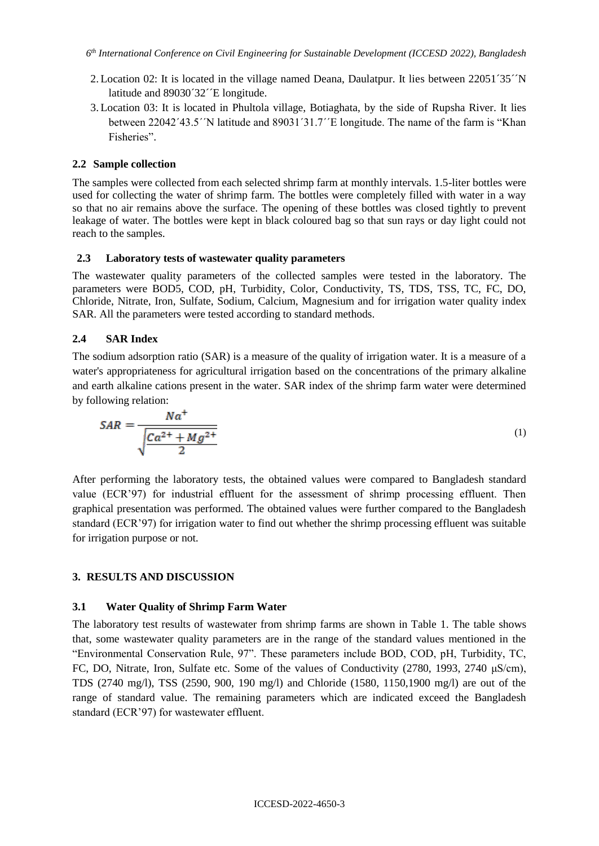- 2. Location 02: It is located in the village named Deana, Daulatpur. It lies between 22051´35´´N latitude and 89030´32´E longitude.
- 3. Location 03: It is located in Phultola village, Botiaghata, by the side of Rupsha River. It lies between 22042´43.5´´N latitude and 89031´31.7´´E longitude. The name of the farm is "Khan Fisheries".

## **2.2 Sample collection**

The samples were collected from each selected shrimp farm at monthly intervals. 1.5-liter bottles were used for collecting the water of shrimp farm. The bottles were completely filled with water in a way so that no air remains above the surface. The opening of these bottles was closed tightly to prevent leakage of water. The bottles were kept in black coloured bag so that sun rays or day light could not reach to the samples.

### **2.3 Laboratory tests of wastewater quality parameters**

The wastewater quality parameters of the collected samples were tested in the laboratory. The parameters were BOD5, COD, pH, Turbidity, Color, Conductivity, TS, TDS, TSS, TC, FC, DO, Chloride, Nitrate, Iron, Sulfate, Sodium, Calcium, Magnesium and for irrigation water quality index SAR. All the parameters were tested according to standard methods.

### **2.4 SAR Index**

The sodium adsorption ratio (SAR) is a measure of the quality of irrigation water. It is a measure of a water's appropriateness for agricultural irrigation based on the concentrations of the primary alkaline and earth alkaline cations present in the water. SAR index of the shrimp farm water were determined by following relation:

$$
SAR = \frac{Na^{+}}{\sqrt{\frac{Ca^{2+} + Mg^{2+}}{2}}}
$$
 (1)

After performing the laboratory tests, the obtained values were compared to Bangladesh standard value (ECR'97) for industrial effluent for the assessment of shrimp processing effluent. Then graphical presentation was performed. The obtained values were further compared to the Bangladesh standard (ECR'97) for irrigation water to find out whether the shrimp processing effluent was suitable for irrigation purpose or not.

# **3. RESULTS AND DISCUSSION**

### **3.1 Water Quality of Shrimp Farm Water**

The laboratory test results of wastewater from shrimp farms are shown in Table 1. The table shows that, some wastewater quality parameters are in the range of the standard values mentioned in the "Environmental Conservation Rule, 97". These parameters include BOD, COD, pH, Turbidity, TC, FC, DO, Nitrate, Iron, Sulfate etc. Some of the values of Conductivity (2780, 1993, 2740 μS/cm), TDS (2740 mg/l), TSS (2590, 900, 190 mg/l) and Chloride (1580, 1150,1900 mg/l) are out of the range of standard value. The remaining parameters which are indicated exceed the Bangladesh standard (ECR'97) for wastewater effluent.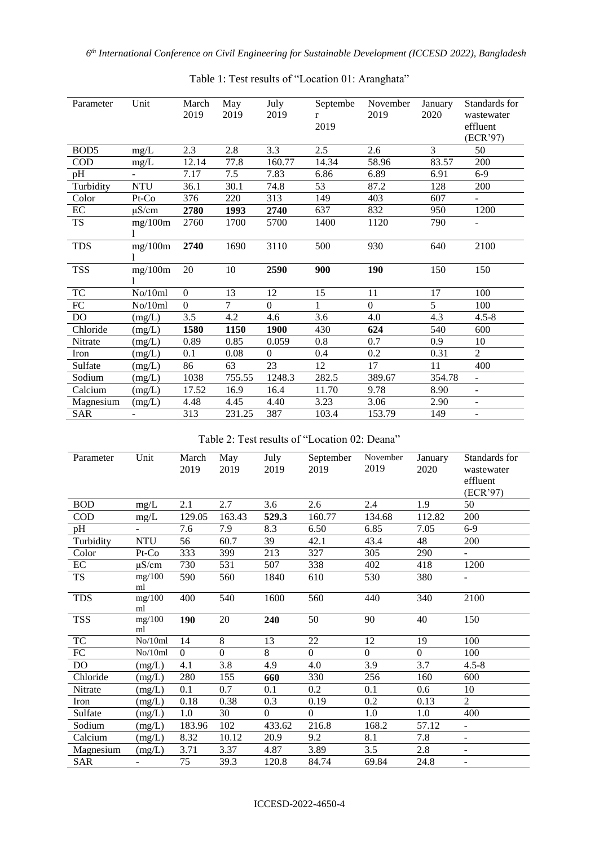| Parameter        | Unit           | March<br>2019 | May<br>2019    | July<br>2019   | Septembe<br>$r_{\parallel}$<br>2019 | November<br>2019 | January<br>2020 | Standards for<br>wastewater<br>effluent<br>(ECR'97) |
|------------------|----------------|---------------|----------------|----------------|-------------------------------------|------------------|-----------------|-----------------------------------------------------|
| BOD <sub>5</sub> | $mg/L$         | 2.3           | 2.8            | 3.3            | 2.5                                 | 2.6              | $\overline{3}$  | 50                                                  |
| $\rm{COD}$       | mg/L           | 12.14         | 77.8           | 160.77         | 14.34                               | 58.96            | 83.57           | 200                                                 |
| pH               | $\overline{a}$ | 7.17          | 7.5            | 7.83           | 6.86                                | 6.89             | 6.91            | $6-9$                                               |
| Turbidity        | <b>NTU</b>     | 36.1          | 30.1           | 74.8           | 53                                  | 87.2             | 128             | 200                                                 |
| Color            | Pt-Co          | 376           | 220            | 313            | 149                                 | 403              | 607             |                                                     |
| $\rm EC$         | $\mu$ S/cm     | 2780          | 1993           | 2740           | 637                                 | 832              | 950             | 1200                                                |
| TS               | mg/100m        | 2760          | 1700           | 5700           | 1400                                | 1120             | 790             | $\overline{\phantom{a}}$                            |
| <b>TDS</b>       | mg/100m        | 2740          | 1690           | 3110           | 500                                 | 930              | 640             | 2100                                                |
| <b>TSS</b>       | mg/100m        | 20            | 10             | 2590           | 900                                 | 190              | 150             | 150                                                 |
| <b>TC</b>        | No/10ml        | $\Omega$      | 13             | 12             | 15                                  | 11               | 17              | 100                                                 |
| ${\rm FC}$       | No/10ml        | $\Omega$      | $\overline{7}$ | $\overline{0}$ | 1                                   | $\Omega$         | $\overline{5}$  | 100                                                 |
| <b>DO</b>        | (mg/L)         | 3.5           | 4.2            | 4.6            | 3.6                                 | 4.0              | 4.3             | $4.5 - 8$                                           |
| Chloride         | (mg/L)         | 1580          | 1150           | 1900           | 430                                 | 624              | 540             | 600                                                 |
| Nitrate          | (mg/L)         | 0.89          | 0.85           | 0.059          | 0.8                                 | 0.7              | 0.9             | 10                                                  |
| Iron             | (mg/L)         | 0.1           | 0.08           | $\Omega$       | 0.4                                 | 0.2              | 0.31            | $\overline{2}$                                      |
| Sulfate          | (mg/L)         | 86            | 63             | 23             | 12                                  | 17               | 11              | 400                                                 |
| Sodium           | (mg/L)         | 1038          | 755.55         | 1248.3         | 282.5                               | 389.67           | 354.78          | $\overline{\phantom{a}}$                            |
| Calcium          | (mg/L)         | 17.52         | 16.9           | 16.4           | 11.70                               | 9.78             | 8.90            | $\overline{\phantom{a}}$                            |
| Magnesium        | (mg/L)         | 4.48          | 4.45           | 4.40           | 3.23                                | 3.06             | 2.90            | $\overline{\phantom{a}}$                            |
| <b>SAR</b>       |                | 313           | 231.25         | 387            | 103.4                               | 153.79           | 149             | $\blacksquare$                                      |

# Table 1: Test results of "Location 01: Aranghata"

Table 2: Test results of "Location 02: Deana"

| Parameter                   | Unit           | March<br>2019 | May<br>2019    | July<br>2019     | September<br>2019 | November<br>2019 | January<br>2020 | Standards for<br>wastewater<br>effluent<br>(ECR'97) |
|-----------------------------|----------------|---------------|----------------|------------------|-------------------|------------------|-----------------|-----------------------------------------------------|
| <b>BOD</b>                  | mg/L           | 2.1           | 2.7            | 3.6              | 2.6               | 2.4              | 1.9             | 50                                                  |
| $\rm COD$                   | mg/L           | 129.05        | 163.43         | 529.3            | 160.77            | 134.68           | 112.82          | 200                                                 |
| pH                          | $\blacksquare$ | 7.6           | 7.9            | 8.3              | 6.50              | 6.85             | 7.05            | $6-9$                                               |
| Turbidity                   | <b>NTU</b>     | 56            | 60.7           | 39               | 42.1              | 43.4             | 48              | 200                                                 |
| Color                       | Pt-Co          | 333           | 399            | 213              | 327               | 305              | 290             | $\blacksquare$                                      |
| EC                          | $\mu$ S/cm     | 730           | 531            | 507              | 338               | 402              | 418             | 1200                                                |
| ${\rm TS}$                  | mg/100<br>ml   | 590           | 560            | 1840             | 610               | 530              | 380             |                                                     |
| <b>TDS</b>                  | mg/100<br>ml   | 400           | 540            | 1600             | 560               | 440              | 340             | 2100                                                |
| <b>TSS</b>                  | mg/100<br>ml   | 190           | 20             | 240              | 50                | 90               | 40              | 150                                                 |
| $\protect\operatorname{TC}$ | No/10ml        | 14            | 8              | 13               | 22                | 12               | 19              | 100                                                 |
| ${\rm FC}$                  | No/10ml        | $\Omega$      | $\overline{0}$ | 8                | $\Omega$          | $\boldsymbol{0}$ | $\overline{0}$  | 100                                                 |
| D <sub>O</sub>              | (mg/L)         | 4.1           | 3.8            | 4.9              | 4.0               | 3.9              | 3.7             | $4.5 - 8$                                           |
| Chloride                    | (mg/L)         | 280           | 155            | 660              | 330               | 256              | 160             | 600                                                 |
| Nitrate                     | (mg/L)         | 0.1           | 0.7            | 0.1              | 0.2               | 0.1              | 0.6             | 10                                                  |
| Iron                        | (mg/L)         | 0.18          | 0.38           | 0.3              | 0.19              | 0.2              | 0.13            | $\overline{2}$                                      |
| Sulfate                     | (mg/L)         | $1.0\,$       | 30             | $\boldsymbol{0}$ | $\mathbf{0}$      | 1.0              | $1.0\,$         | 400                                                 |
| Sodium                      | (mg/L)         | 183.96        | 102            | 433.62           | 216.8             | 168.2            | 57.12           | $\overline{\phantom{a}}$                            |
| Calcium                     | (mg/L)         | 8.32          | 10.12          | 20.9             | 9.2               | 8.1              | 7.8             | ÷,                                                  |
| Magnesium                   | (mg/L)         | 3.71          | 3.37           | 4.87             | 3.89              | 3.5              | 2.8             | $\overline{\phantom{a}}$                            |
| <b>SAR</b>                  |                | 75            | 39.3           | 120.8            | 84.74             | 69.84            | 24.8            | $\overline{\phantom{a}}$                            |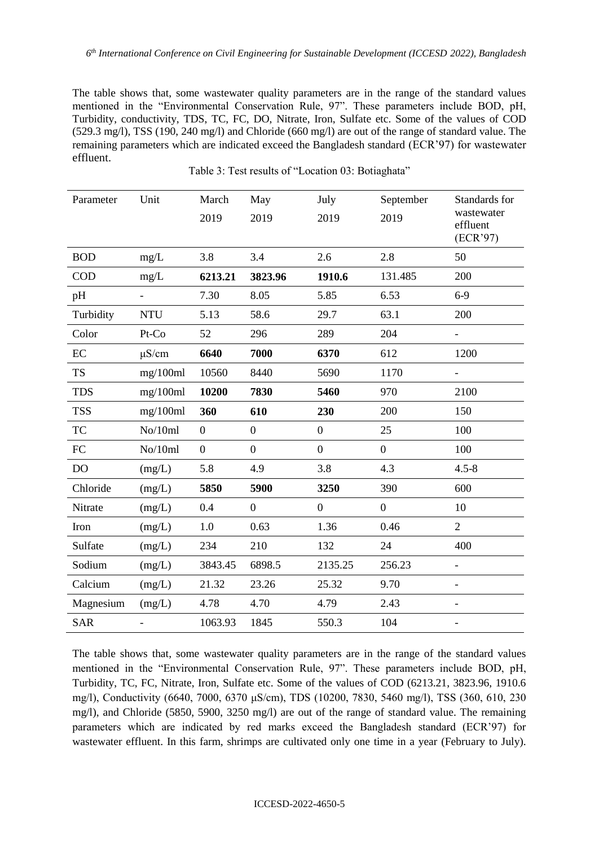The table shows that, some wastewater quality parameters are in the range of the standard values mentioned in the "Environmental Conservation Rule, 97". These parameters include BOD, pH, Turbidity, conductivity, TDS, TC, FC, DO, Nitrate, Iron, Sulfate etc. Some of the values of COD (529.3 mg/l), TSS (190, 240 mg/l) and Chloride (660 mg/l) are out of the range of standard value. The remaining parameters which are indicated exceed the Bangladesh standard (ECR'97) for wastewater effluent.

| Parameter  | Unit                     | March            | May              | July             | September        | Standards for                      |  |
|------------|--------------------------|------------------|------------------|------------------|------------------|------------------------------------|--|
|            |                          | 2019             | 2019             | 2019             | 2019             | wastewater<br>effluent<br>(ECR'97) |  |
| <b>BOD</b> | mg/L                     | 3.8              | 3.4              | 2.6              | 2.8              | 50                                 |  |
| <b>COD</b> | mg/L                     | 6213.21          | 3823.96          | 1910.6           | 131.485          | 200                                |  |
| pH         | $\overline{\phantom{a}}$ | 7.30             | 8.05             | 5.85             | 6.53             | $6-9$                              |  |
| Turbidity  | <b>NTU</b>               | 5.13             | 58.6             | 29.7             | 63.1             | 200                                |  |
| Color      | Pt-Co                    | 52               | 296              | 289              | 204              |                                    |  |
| EC         | $\mu$ S/cm               | 6640             | 7000             | 6370             | 612              | 1200                               |  |
| <b>TS</b>  | mg/100ml                 | 10560            | 8440             | 5690             | 1170             |                                    |  |
| <b>TDS</b> | mg/100ml                 | 10200            | 7830             | 5460             | 970              | 2100                               |  |
| <b>TSS</b> | mg/100ml                 | 360              | 610              | 230              | 200              | 150                                |  |
| <b>TC</b>  | No/10ml                  | $\overline{0}$   | $\boldsymbol{0}$ | $\overline{0}$   | 25               | 100                                |  |
| FC         | No/10ml                  | $\boldsymbol{0}$ | $\boldsymbol{0}$ | $\boldsymbol{0}$ | $\overline{0}$   | 100                                |  |
| DO         | (mg/L)                   | 5.8              | 4.9              | 3.8              | 4.3              | $4.5 - 8$                          |  |
| Chloride   | (mg/L)                   | 5850             | 5900             | 3250             | 390              | 600                                |  |
| Nitrate    | (mg/L)                   | 0.4              | $\boldsymbol{0}$ | $\boldsymbol{0}$ | $\boldsymbol{0}$ | 10                                 |  |
| Iron       | (mg/L)                   | 1.0              | 0.63             | 1.36             | 0.46             | $\overline{2}$                     |  |
| Sulfate    | (mg/L)                   | 234              | 210              | 132              | 24               | 400                                |  |
| Sodium     | (mg/L)                   | 3843.45          | 6898.5           | 2135.25          | 256.23           |                                    |  |
| Calcium    | (mg/L)                   | 21.32            | 23.26            | 25.32            | 9.70             |                                    |  |
| Magnesium  | (mg/L)                   | 4.78             | 4.70             | 4.79             | 2.43             | $\overline{\phantom{0}}$           |  |
| <b>SAR</b> |                          | 1063.93          | 1845             | 550.3            | 104              |                                    |  |

Table 3: Test results of "Location 03: Botiaghata"

The table shows that, some wastewater quality parameters are in the range of the standard values mentioned in the "Environmental Conservation Rule, 97". These parameters include BOD, pH, Turbidity, TC, FC, Nitrate, Iron, Sulfate etc. Some of the values of COD (6213.21, 3823.96, 1910.6 mg/l), Conductivity (6640, 7000, 6370 μS/cm), TDS (10200, 7830, 5460 mg/l), TSS (360, 610, 230 mg/l), and Chloride (5850, 5900, 3250 mg/l) are out of the range of standard value. The remaining parameters which are indicated by red marks exceed the Bangladesh standard (ECR'97) for wastewater effluent. In this farm, shrimps are cultivated only one time in a year (February to July).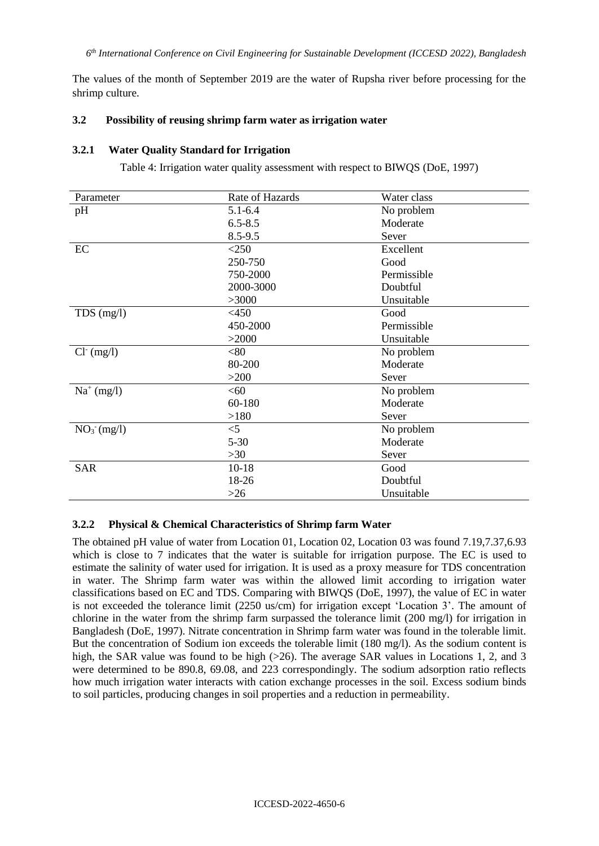The values of the month of September 2019 are the water of Rupsha river before processing for the shrimp culture.

### **3.2 Possibility of reusing shrimp farm water as irrigation water**

#### **3.2.1 Water Quality Standard for Irrigation**

Table 4: Irrigation water quality assessment with respect to BIWQS (DoE, 1997)

| Parameter     | Rate of Hazards | Water class |
|---------------|-----------------|-------------|
| pH            | $5.1 - 6.4$     | No problem  |
|               | $6.5 - 8.5$     | Moderate    |
|               | 8.5-9.5         | Sever       |
| EC            | $<$ 250         | Excellent   |
|               | 250-750         | Good        |
|               | 750-2000        | Permissible |
|               | 2000-3000       | Doubtful    |
|               | >3000           | Unsuitable  |
| $TDS$ (mg/l)  | $<$ 450         | Good        |
|               | 450-2000        | Permissible |
|               | >2000           | Unsuitable  |
| $Cl^-(mg/l)$  | < 80            | No problem  |
|               | 80-200          | Moderate    |
|               | $>200$          | Sever       |
| $Na^+(mg/l)$  | < 60            | No problem  |
|               | 60-180          | Moderate    |
|               | >180            | Sever       |
| $NO3- (mg/l)$ | $<$ 5           | No problem  |
|               | $5 - 30$        | Moderate    |
|               | $>30$           | Sever       |
| <b>SAR</b>    | $10-18$         | Good        |
|               | 18-26           | Doubtful    |
|               | $>26$           | Unsuitable  |

#### **3.2.2 Physical & Chemical Characteristics of Shrimp farm Water**

The obtained pH value of water from Location 01, Location 02, Location 03 was found 7.19,7.37,6.93 which is close to 7 indicates that the water is suitable for irrigation purpose. The EC is used to estimate the salinity of water used for irrigation. It is used as a proxy measure for TDS concentration in water. The Shrimp farm water was within the allowed limit according to irrigation water classifications based on EC and TDS. Comparing with BIWQS (DoE, 1997), the value of EC in water is not exceeded the tolerance limit (2250 us/cm) for irrigation except 'Location 3'. The amount of chlorine in the water from the shrimp farm surpassed the tolerance limit (200 mg/l) for irrigation in Bangladesh (DoE, 1997). Nitrate concentration in Shrimp farm water was found in the tolerable limit. But the concentration of Sodium ion exceeds the tolerable limit (180 mg/l). As the sodium content is high, the SAR value was found to be high  $(>26)$ . The average SAR values in Locations 1, 2, and 3 were determined to be 890.8, 69.08, and 223 correspondingly. The sodium adsorption ratio reflects how much irrigation water interacts with cation exchange processes in the soil. Excess sodium binds to soil particles, producing changes in soil properties and a reduction in permeability.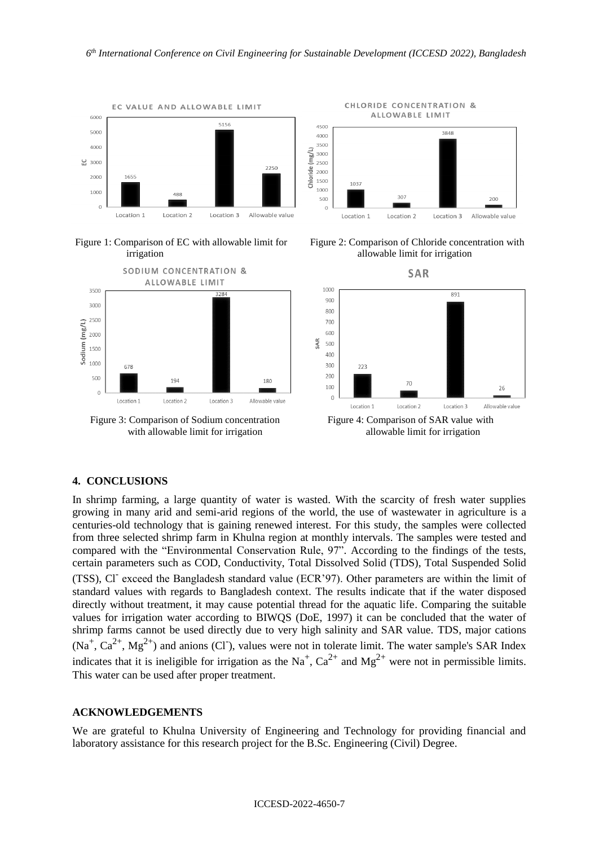





Figure 3: Comparison of Sodium concentration Figure 4: Comparison of SAR value with with allowable limit for irrigation allowable limit for irrigation





### **4. CONCLUSIONS**

In shrimp farming, a large quantity of water is wasted. With the scarcity of fresh water supplies growing in many arid and semi-arid regions of the world, the use of wastewater in agriculture is a centuries-old technology that is gaining renewed interest. For this study, the samples were collected from three selected shrimp farm in Khulna region at monthly intervals. The samples were tested and compared with the "Environmental Conservation Rule, 97". According to the findings of the tests, certain parameters such as COD, Conductivity, Total Dissolved Solid (TDS), Total Suspended Solid (TSS), Cl<sup>-</sup> exceed the Bangladesh standard value (ECR'97). Other parameters are within the limit of standard values with regards to Bangladesh context. The results indicate that if the water disposed directly without treatment, it may cause potential thread for the aquatic life. Comparing the suitable values for irrigation water according to BIWQS (DoE, 1997) it can be concluded that the water of shrimp farms cannot be used directly due to very high salinity and SAR value. TDS, major cations  $(Na^+, Ca^{2+}, Mg^{2+})$  and anions (CI), values were not in tolerate limit. The water sample's SAR Index indicates that it is ineligible for irrigation as the Na<sup>+</sup>, Ca<sup>2+</sup> and Mg<sup>2+</sup> were not in permissible limits. This water can be used after proper treatment.

#### **ACKNOWLEDGEMENTS**

We are grateful to Khulna University of Engineering and Technology for providing financial and laboratory assistance for this research project for the B.Sc. Engineering (Civil) Degree.